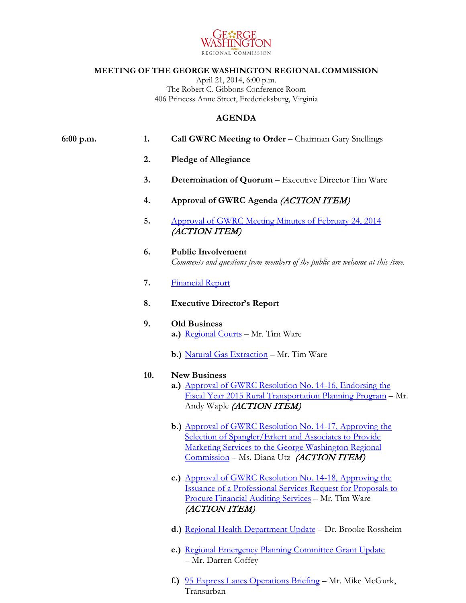

## **MEETING OF THE GEORGE WASHINGTON REGIONAL COMMISSION**

April 21, 2014, 6:00 p.m. The Robert C. Gibbons Conference Room 406 Princess Anne Street, Fredericksburg, Virginia

## **AGENDA**

## **6:00 p.m. 1. Call GWRC Meeting to Order –** Chairman Gary Snellings

- **2. Pledge of Allegiance**
- **3. Determination of Quorum –** Executive Director Tim Ware
- **4. Approval of GWRC Agenda** (ACTION ITEM)
- **5.** [Approval of GWRC Meeting Minutes of February 24, 2014](https://www.gwregion.org/wp-content/uploads/2014/04/022414-GWRC-Minutes.pdf) (ACTION ITEM)
- **6. Public Involvement** *Comments and questions from members of the public are welcome at this time.*
- **7.** [Financial Report](https://www.gwregion.org/wp-content/uploads/2014/04/financials.pdf)
- **8. Executive Director's Report**
- **9. Old Business a.)** [Regional Courts](https://www.gwregion.org/wp-content/uploads/2014/04/Regional-courts.pdf) – Mr. Tim Ware
	- **b.**) [Natural Gas Extraction](https://www.gwregion.org/wp-content/uploads/2014/04/natural-gas-extraction1.pdf) Mr. Tim Ware

## **10. New Business**

- **a.)** [Approval of GWRC Resolution No. 14-16, Endorsing the](https://www.gwregion.org/wp-content/uploads/2014/04/GWRC-Resolution-No-14-14-Endorsing-the-FY2015-RTW.pdf)  [Fiscal Year 2015 Rural Transportation Planning Program](https://www.gwregion.org/wp-content/uploads/2014/04/GWRC-Resolution-No-14-14-Endorsing-the-FY2015-RTW.pdf) – Mr. Andy Waple (ACTION ITEM)
- **b.)** [Approval of GWRC Resolution No. 14-17,](https://www.gwregion.org/wp-content/uploads/2014/04/GWRC-Resolution-14-17-Spangler_Erkert-Marketing-Services.pdf) Approving the Selection [of Spangler/Erkert and Associates to Provide](https://www.gwregion.org/wp-content/uploads/2014/04/GWRC-Resolution-14-17-Spangler_Erkert-Marketing-Services.pdf)  Marketing Services to [the George Washington Regional](https://www.gwregion.org/wp-content/uploads/2014/04/GWRC-Resolution-14-17-Spangler_Erkert-Marketing-Services.pdf)  [Commission](https://www.gwregion.org/wp-content/uploads/2014/04/GWRC-Resolution-14-17-Spangler_Erkert-Marketing-Services.pdf) – Ms. Diana Utz (ACTION ITEM)
- **c.)** [Approval of GWRC Resolution No. 14-18,](https://www.gwregion.org/wp-content/uploads/2014/04/GWRC-Resolution-No-14-18-Approving-the-Issuance-of-a-Professional-Services-Request-for-Proposals-to-Procure-Financial-Auditing-Services.pdf) Approving the [Issuance of a Professional Services Request for Proposals to](https://www.gwregion.org/wp-content/uploads/2014/04/GWRC-Resolution-No-14-18-Approving-the-Issuance-of-a-Professional-Services-Request-for-Proposals-to-Procure-Financial-Auditing-Services.pdf)  [Procure Financial Auditing Services](https://www.gwregion.org/wp-content/uploads/2014/04/GWRC-Resolution-No-14-18-Approving-the-Issuance-of-a-Professional-Services-Request-for-Proposals-to-Procure-Financial-Auditing-Services.pdf) – Mr. Tim Ware (ACTION ITEM)
- **d.)** [Regional Health Department Update](https://www.gwregion.org/wp-content/uploads/2014/04/RAHD-Reportable-Disease-Overview.pdf) Dr. Brooke Rossheim
- **e.)** [Regional Emergency Planning Committee Grant Update](https://www.gwregion.org/wp-content/uploads/2014/04/Regional-Emergency-Planning-Committee-Grant-Update.pdf) – Mr. Darren Coffey
- **f.)** [95 Express Lanes Operations](https://www.gwregion.org/wp-content/uploads/2014/04/GWRC-and-FAMPO-April-2014.pdf) Briefing Mr. Mike McGurk, Transurban